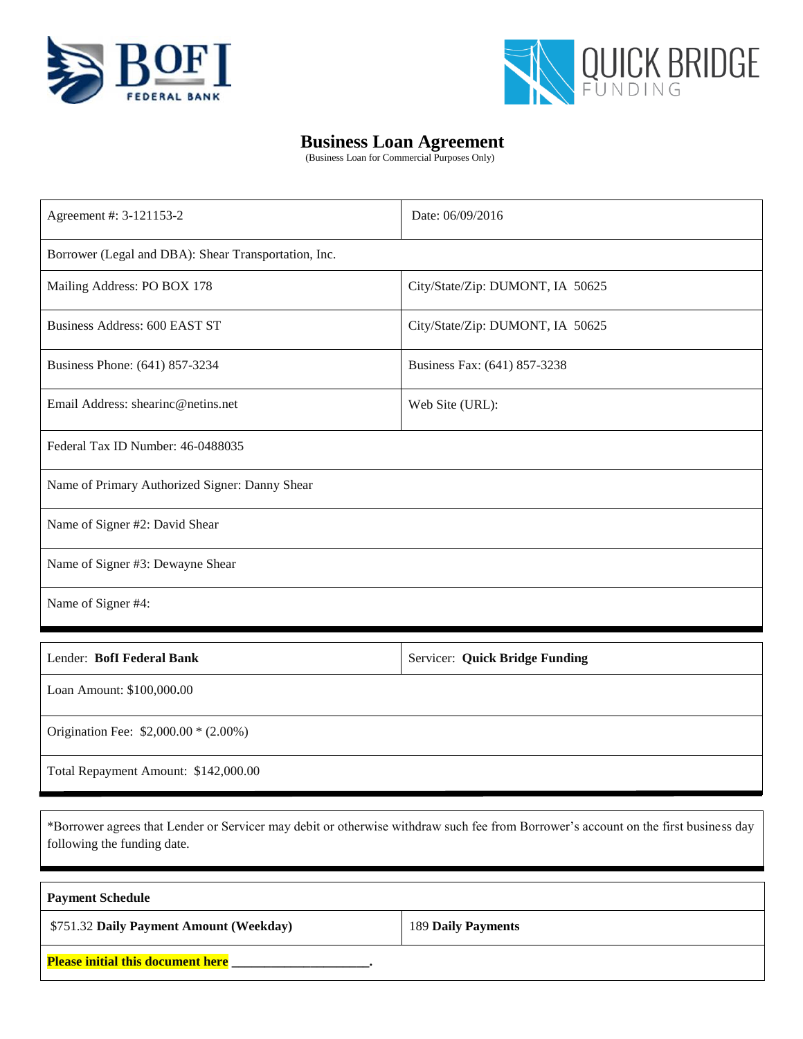



## **Business Loan Agreement**

(Business Loan for Commercial Purposes Only)

| Agreement #: 3-121153-2                              | Date: 06/09/2016                 |  |  |  |  |
|------------------------------------------------------|----------------------------------|--|--|--|--|
| Borrower (Legal and DBA): Shear Transportation, Inc. |                                  |  |  |  |  |
| Mailing Address: PO BOX 178                          | City/State/Zip: DUMONT, IA 50625 |  |  |  |  |
| Business Address: 600 EAST ST                        | City/State/Zip: DUMONT, IA 50625 |  |  |  |  |
| Business Phone: (641) 857-3234                       | Business Fax: (641) 857-3238     |  |  |  |  |
| Email Address: shearing@netins.net                   | Web Site (URL):                  |  |  |  |  |
| Federal Tax ID Number: 46-0488035                    |                                  |  |  |  |  |
| Name of Primary Authorized Signer: Danny Shear       |                                  |  |  |  |  |
| Name of Signer #2: David Shear                       |                                  |  |  |  |  |
| Name of Signer #3: Dewayne Shear                     |                                  |  |  |  |  |
| Name of Signer #4:                                   |                                  |  |  |  |  |

| Lender: Boff Federal Bank            | Servicer: Quick Bridge Funding |
|--------------------------------------|--------------------------------|
| Loan Amount: \$100,000.00            |                                |
| Origination Fee: $$2,000.00*(2.00%)$ |                                |
| Total Repayment Amount: \$142,000.00 |                                |

\*Borrower agrees that Lender or Servicer may debit or otherwise withdraw such fee from Borrower's account on the first business day following the funding date.

| <b>Payment Schedule</b>                  |                    |  |  |  |
|------------------------------------------|--------------------|--|--|--|
| \$751.32 Daily Payment Amount (Weekday)  | 189 Daily Payments |  |  |  |
| <b>Please initial this document here</b> |                    |  |  |  |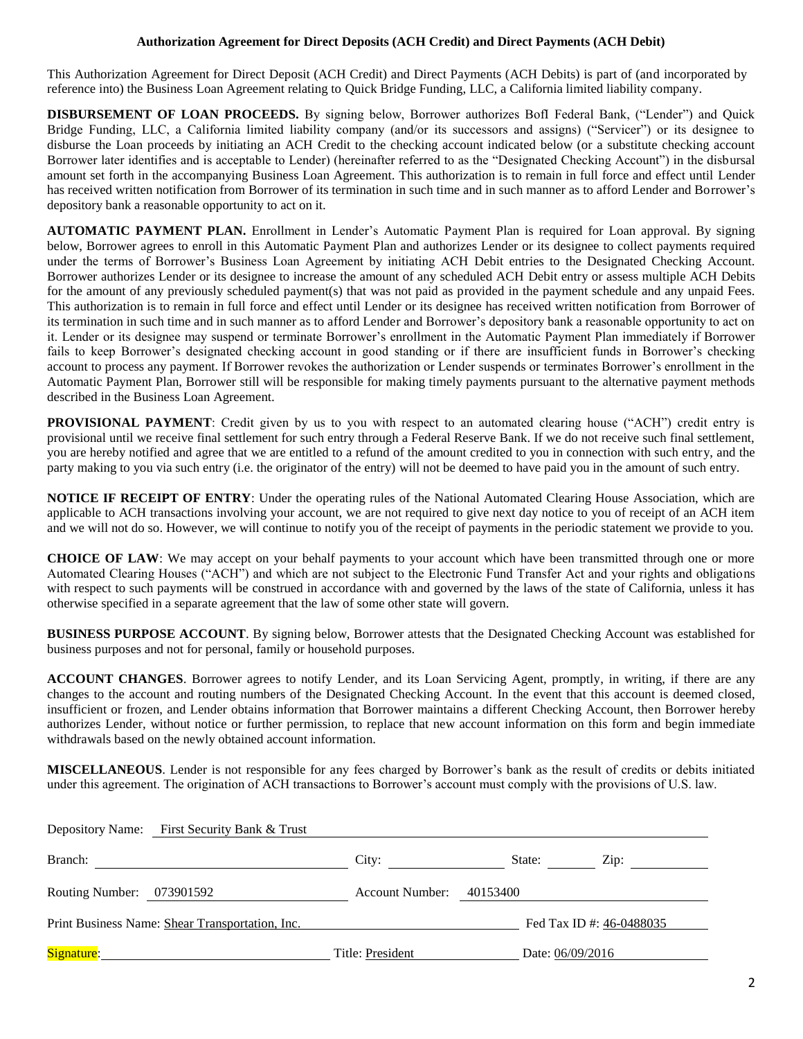#### **Authorization Agreement for Direct Deposits (ACH Credit) and Direct Payments (ACH Debit)**

This Authorization Agreement for Direct Deposit (ACH Credit) and Direct Payments (ACH Debits) is part of (and incorporated by reference into) the Business Loan Agreement relating to Quick Bridge Funding, LLC, a California limited liability company.

**DISBURSEMENT OF LOAN PROCEEDS.** By signing below, Borrower authorizes BofI Federal Bank, ("Lender") and Quick Bridge Funding, LLC, a California limited liability company (and/or its successors and assigns) ("Servicer") or its designee to disburse the Loan proceeds by initiating an ACH Credit to the checking account indicated below (or a substitute checking account Borrower later identifies and is acceptable to Lender) (hereinafter referred to as the "Designated Checking Account") in the disbursal amount set forth in the accompanying Business Loan Agreement. This authorization is to remain in full force and effect until Lender has received written notification from Borrower of its termination in such time and in such manner as to afford Lender and Borrower's depository bank a reasonable opportunity to act on it.

**AUTOMATIC PAYMENT PLAN.** Enrollment in Lender's Automatic Payment Plan is required for Loan approval. By signing below, Borrower agrees to enroll in this Automatic Payment Plan and authorizes Lender or its designee to collect payments required under the terms of Borrower's Business Loan Agreement by initiating ACH Debit entries to the Designated Checking Account. Borrower authorizes Lender or its designee to increase the amount of any scheduled ACH Debit entry or assess multiple ACH Debits for the amount of any previously scheduled payment(s) that was not paid as provided in the payment schedule and any unpaid Fees. This authorization is to remain in full force and effect until Lender or its designee has received written notification from Borrower of its termination in such time and in such manner as to afford Lender and Borrower's depository bank a reasonable opportunity to act on it. Lender or its designee may suspend or terminate Borrower's enrollment in the Automatic Payment Plan immediately if Borrower fails to keep Borrower's designated checking account in good standing or if there are insufficient funds in Borrower's checking account to process any payment. If Borrower revokes the authorization or Lender suspends or terminates Borrower's enrollment in the Automatic Payment Plan, Borrower still will be responsible for making timely payments pursuant to the alternative payment methods described in the Business Loan Agreement.

**PROVISIONAL PAYMENT**: Credit given by us to you with respect to an automated clearing house ("ACH") credit entry is provisional until we receive final settlement for such entry through a Federal Reserve Bank. If we do not receive such final settlement, you are hereby notified and agree that we are entitled to a refund of the amount credited to you in connection with such entry, and the party making to you via such entry (i.e. the originator of the entry) will not be deemed to have paid you in the amount of such entry.

**NOTICE IF RECEIPT OF ENTRY:** Under the operating rules of the National Automated Clearing House Association, which are applicable to ACH transactions involving your account, we are not required to give next day notice to you of receipt of an ACH item and we will not do so. However, we will continue to notify you of the receipt of payments in the periodic statement we provide to you.

**CHOICE OF LAW**: We may accept on your behalf payments to your account which have been transmitted through one or more Automated Clearing Houses ("ACH") and which are not subject to the Electronic Fund Transfer Act and your rights and obligations with respect to such payments will be construed in accordance with and governed by the laws of the state of California, unless it has otherwise specified in a separate agreement that the law of some other state will govern.

**BUSINESS PURPOSE ACCOUNT**. By signing below, Borrower attests that the Designated Checking Account was established for business purposes and not for personal, family or household purposes.

**ACCOUNT CHANGES**. Borrower agrees to notify Lender, and its Loan Servicing Agent, promptly, in writing, if there are any changes to the account and routing numbers of the Designated Checking Account. In the event that this account is deemed closed, insufficient or frozen, and Lender obtains information that Borrower maintains a different Checking Account, then Borrower hereby authorizes Lender, without notice or further permission, to replace that new account information on this form and begin immediate withdrawals based on the newly obtained account information.

**MISCELLANEOUS**. Lender is not responsible for any fees charged by Borrower's bank as the result of credits or debits initiated under this agreement. The origination of ACH transactions to Borrower's account must comply with the provisions of U.S. law.

|                           | Depository Name: First Security Bank & Trust    |                        |                          |  |
|---------------------------|-------------------------------------------------|------------------------|--------------------------|--|
| Branch:                   |                                                 | City:                  | State:<br>Zip:           |  |
| Routing Number: 073901592 |                                                 | <b>Account Number:</b> | 40153400                 |  |
|                           | Print Business Name: Shear Transportation, Inc. |                        | Fed Tax ID #: 46-0488035 |  |
| Signature:                |                                                 | Title: President       | Date: 06/09/2016         |  |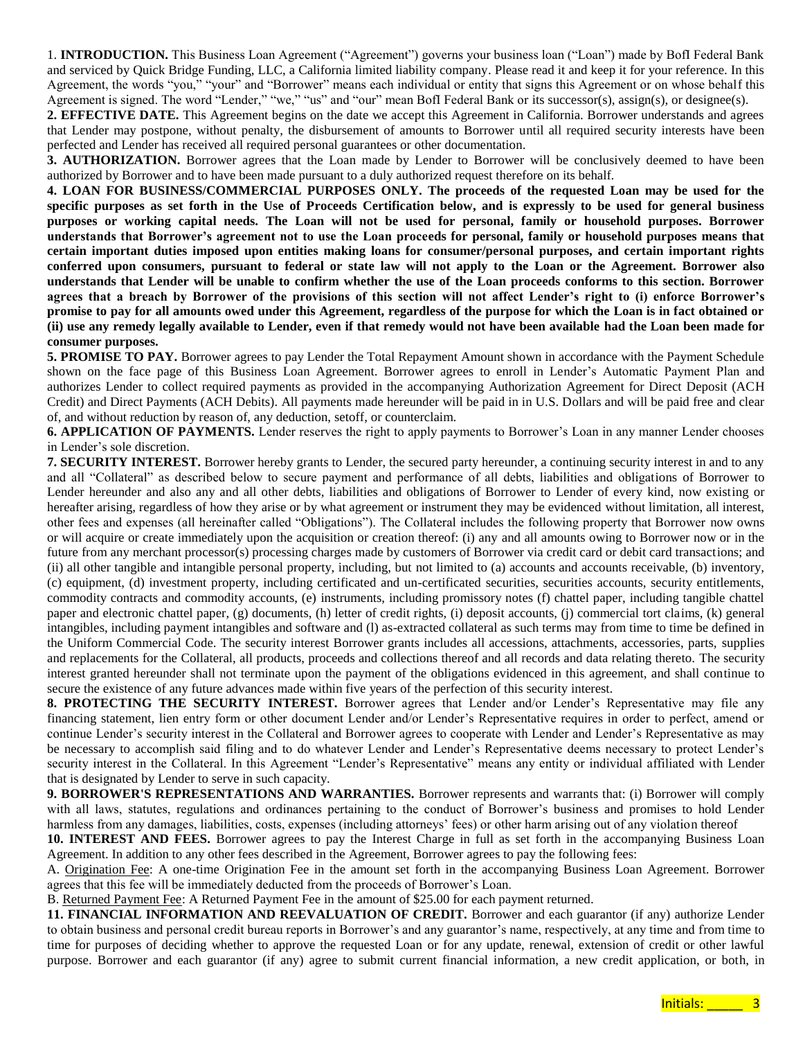1. **INTRODUCTION.** This Business Loan Agreement ("Agreement") governs your business loan ("Loan") made by BofI Federal Bank and serviced by Quick Bridge Funding, LLC, a California limited liability company. Please read it and keep it for your reference. In this Agreement, the words "you," "your" and "Borrower" means each individual or entity that signs this Agreement or on whose behalf this Agreement is signed. The word "Lender," "we," "us" and "our" mean BofI Federal Bank or its successor(s), assign(s), or designee(s).

**2. EFFECTIVE DATE.** This Agreement begins on the date we accept this Agreement in California. Borrower understands and agrees that Lender may postpone, without penalty, the disbursement of amounts to Borrower until all required security interests have been perfected and Lender has received all required personal guarantees or other documentation.

**3. AUTHORIZATION.** Borrower agrees that the Loan made by Lender to Borrower will be conclusively deemed to have been authorized by Borrower and to have been made pursuant to a duly authorized request therefore on its behalf.

**4. LOAN FOR BUSINESS/COMMERCIAL PURPOSES ONLY. The proceeds of the requested Loan may be used for the specific purposes as set forth in the Use of Proceeds Certification below, and is expressly to be used for general business purposes or working capital needs. The Loan will not be used for personal, family or household purposes. Borrower understands that Borrower's agreement not to use the Loan proceeds for personal, family or household purposes means that certain important duties imposed upon entities making loans for consumer/personal purposes, and certain important rights conferred upon consumers, pursuant to federal or state law will not apply to the Loan or the Agreement. Borrower also understands that Lender will be unable to confirm whether the use of the Loan proceeds conforms to this section. Borrower agrees that a breach by Borrower of the provisions of this section will not affect Lender's right to (i) enforce Borrower's promise to pay for all amounts owed under this Agreement, regardless of the purpose for which the Loan is in fact obtained or (ii) use any remedy legally available to Lender, even if that remedy would not have been available had the Loan been made for consumer purposes.** 

**5. PROMISE TO PAY.** Borrower agrees to pay Lender the Total Repayment Amount shown in accordance with the Payment Schedule shown on the face page of this Business Loan Agreement. Borrower agrees to enroll in Lender's Automatic Payment Plan and authorizes Lender to collect required payments as provided in the accompanying Authorization Agreement for Direct Deposit (ACH Credit) and Direct Payments (ACH Debits). All payments made hereunder will be paid in in U.S. Dollars and will be paid free and clear of, and without reduction by reason of, any deduction, setoff, or counterclaim.

**6. APPLICATION OF PAYMENTS.** Lender reserves the right to apply payments to Borrower's Loan in any manner Lender chooses in Lender's sole discretion.

**7. SECURITY INTEREST.** Borrower hereby grants to Lender, the secured party hereunder, a continuing security interest in and to any and all "Collateral" as described below to secure payment and performance of all debts, liabilities and obligations of Borrower to Lender hereunder and also any and all other debts, liabilities and obligations of Borrower to Lender of every kind, now existing or hereafter arising, regardless of how they arise or by what agreement or instrument they may be evidenced without limitation, all interest, other fees and expenses (all hereinafter called "Obligations"). The Collateral includes the following property that Borrower now owns or will acquire or create immediately upon the acquisition or creation thereof: (i) any and all amounts owing to Borrower now or in the future from any merchant processor(s) processing charges made by customers of Borrower via credit card or debit card transactions; and (ii) all other tangible and intangible personal property, including, but not limited to (a) accounts and accounts receivable, (b) inventory, (c) equipment, (d) investment property, including certificated and un-certificated securities, securities accounts, security entitlements, commodity contracts and commodity accounts, (e) instruments, including promissory notes (f) chattel paper, including tangible chattel paper and electronic chattel paper, (g) documents, (h) letter of credit rights, (i) deposit accounts, (j) commercial tort claims, (k) general intangibles, including payment intangibles and software and (l) as-extracted collateral as such terms may from time to time be defined in the Uniform Commercial Code. The security interest Borrower grants includes all accessions, attachments, accessories, parts, supplies and replacements for the Collateral, all products, proceeds and collections thereof and all records and data relating thereto. The security interest granted hereunder shall not terminate upon the payment of the obligations evidenced in this agreement, and shall continue to secure the existence of any future advances made within five years of the perfection of this security interest.

**8. PROTECTING THE SECURITY INTEREST.** Borrower agrees that Lender and/or Lender's Representative may file any financing statement, lien entry form or other document Lender and/or Lender's Representative requires in order to perfect, amend or continue Lender's security interest in the Collateral and Borrower agrees to cooperate with Lender and Lender's Representative as may be necessary to accomplish said filing and to do whatever Lender and Lender's Representative deems necessary to protect Lender's security interest in the Collateral. In this Agreement "Lender's Representative" means any entity or individual affiliated with Lender that is designated by Lender to serve in such capacity.

**9. BORROWER'S REPRESENTATIONS AND WARRANTIES.** Borrower represents and warrants that: (i) Borrower will comply with all laws, statutes, regulations and ordinances pertaining to the conduct of Borrower's business and promises to hold Lender harmless from any damages, liabilities, costs, expenses (including attorneys' fees) or other harm arising out of any violation thereof

**10. INTEREST AND FEES.** Borrower agrees to pay the Interest Charge in full as set forth in the accompanying Business Loan Agreement. In addition to any other fees described in the Agreement, Borrower agrees to pay the following fees:

A. Origination Fee: A one-time Origination Fee in the amount set forth in the accompanying Business Loan Agreement. Borrower agrees that this fee will be immediately deducted from the proceeds of Borrower's Loan.

B. Returned Payment Fee: A Returned Payment Fee in the amount of \$25.00 for each payment returned.

**11. FINANCIAL INFORMATION AND REEVALUATION OF CREDIT.** Borrower and each guarantor (if any) authorize Lender to obtain business and personal credit bureau reports in Borrower's and any guarantor's name, respectively, at any time and from time to time for purposes of deciding whether to approve the requested Loan or for any update, renewal, extension of credit or other lawful purpose. Borrower and each guarantor (if any) agree to submit current financial information, a new credit application, or both, in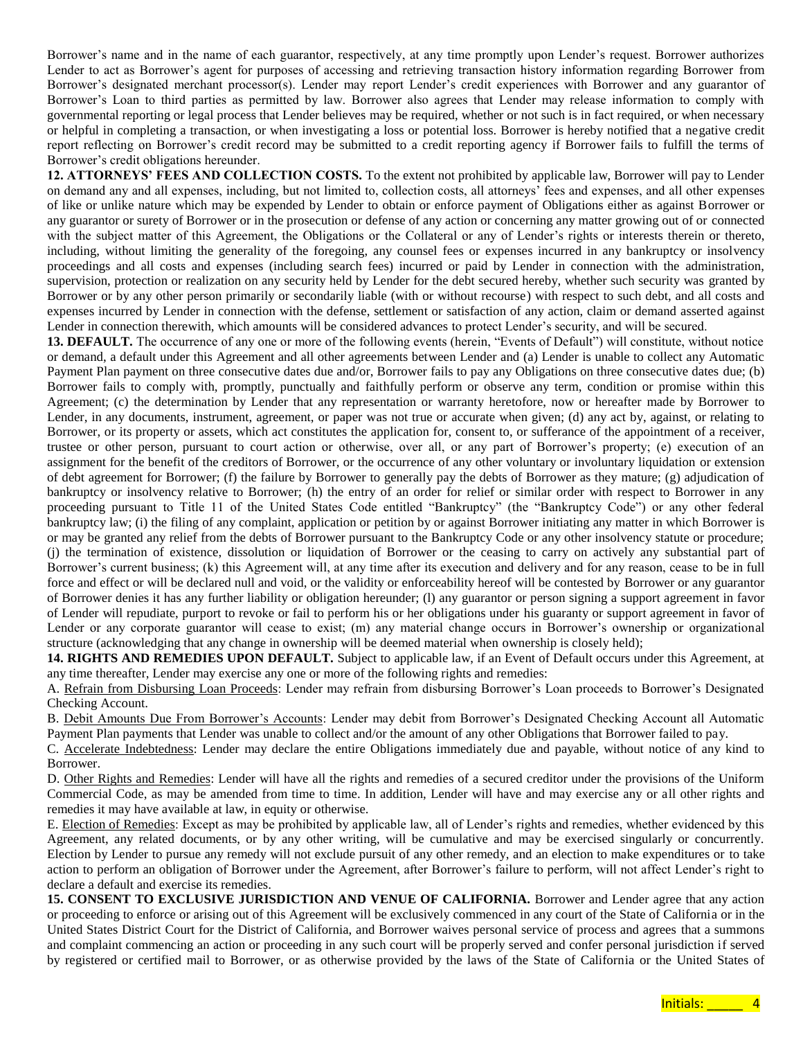Borrower's name and in the name of each guarantor, respectively, at any time promptly upon Lender's request. Borrower authorizes Lender to act as Borrower's agent for purposes of accessing and retrieving transaction history information regarding Borrower from Borrower's designated merchant processor(s). Lender may report Lender's credit experiences with Borrower and any guarantor of Borrower's Loan to third parties as permitted by law. Borrower also agrees that Lender may release information to comply with governmental reporting or legal process that Lender believes may be required, whether or not such is in fact required, or when necessary or helpful in completing a transaction, or when investigating a loss or potential loss. Borrower is hereby notified that a negative credit report reflecting on Borrower's credit record may be submitted to a credit reporting agency if Borrower fails to fulfill the terms of Borrower's credit obligations hereunder.

**12. ATTORNEYS' FEES AND COLLECTION COSTS.** To the extent not prohibited by applicable law, Borrower will pay to Lender on demand any and all expenses, including, but not limited to, collection costs, all attorneys' fees and expenses, and all other expenses of like or unlike nature which may be expended by Lender to obtain or enforce payment of Obligations either as against Borrower or any guarantor or surety of Borrower or in the prosecution or defense of any action or concerning any matter growing out of or connected with the subject matter of this Agreement, the Obligations or the Collateral or any of Lender's rights or interests therein or thereto, including, without limiting the generality of the foregoing, any counsel fees or expenses incurred in any bankruptcy or insolvency proceedings and all costs and expenses (including search fees) incurred or paid by Lender in connection with the administration, supervision, protection or realization on any security held by Lender for the debt secured hereby, whether such security was granted by Borrower or by any other person primarily or secondarily liable (with or without recourse) with respect to such debt, and all costs and expenses incurred by Lender in connection with the defense, settlement or satisfaction of any action, claim or demand asserted against Lender in connection therewith, which amounts will be considered advances to protect Lender's security, and will be secured.

**13. DEFAULT.** The occurrence of any one or more of the following events (herein, "Events of Default") will constitute, without notice or demand, a default under this Agreement and all other agreements between Lender and (a) Lender is unable to collect any Automatic Payment Plan payment on three consecutive dates due and/or, Borrower fails to pay any Obligations on three consecutive dates due; (b) Borrower fails to comply with, promptly, punctually and faithfully perform or observe any term, condition or promise within this Agreement; (c) the determination by Lender that any representation or warranty heretofore, now or hereafter made by Borrower to Lender, in any documents, instrument, agreement, or paper was not true or accurate when given; (d) any act by, against, or relating to Borrower, or its property or assets, which act constitutes the application for, consent to, or sufferance of the appointment of a receiver, trustee or other person, pursuant to court action or otherwise, over all, or any part of Borrower's property; (e) execution of an assignment for the benefit of the creditors of Borrower, or the occurrence of any other voluntary or involuntary liquidation or extension of debt agreement for Borrower; (f) the failure by Borrower to generally pay the debts of Borrower as they mature; (g) adjudication of bankruptcy or insolvency relative to Borrower; (h) the entry of an order for relief or similar order with respect to Borrower in any proceeding pursuant to Title 11 of the United States Code entitled "Bankruptcy" (the "Bankruptcy Code") or any other federal bankruptcy law; (i) the filing of any complaint, application or petition by or against Borrower initiating any matter in which Borrower is or may be granted any relief from the debts of Borrower pursuant to the Bankruptcy Code or any other insolvency statute or procedure; (j) the termination of existence, dissolution or liquidation of Borrower or the ceasing to carry on actively any substantial part of Borrower's current business; (k) this Agreement will, at any time after its execution and delivery and for any reason, cease to be in full force and effect or will be declared null and void, or the validity or enforceability hereof will be contested by Borrower or any guarantor of Borrower denies it has any further liability or obligation hereunder; (l) any guarantor or person signing a support agreement in favor of Lender will repudiate, purport to revoke or fail to perform his or her obligations under his guaranty or support agreement in favor of Lender or any corporate guarantor will cease to exist; (m) any material change occurs in Borrower's ownership or organizational structure (acknowledging that any change in ownership will be deemed material when ownership is closely held);

**14. RIGHTS AND REMEDIES UPON DEFAULT.** Subject to applicable law, if an Event of Default occurs under this Agreement, at any time thereafter, Lender may exercise any one or more of the following rights and remedies:

A. Refrain from Disbursing Loan Proceeds: Lender may refrain from disbursing Borrower's Loan proceeds to Borrower's Designated Checking Account.

B. Debit Amounts Due From Borrower's Accounts: Lender may debit from Borrower's Designated Checking Account all Automatic Payment Plan payments that Lender was unable to collect and/or the amount of any other Obligations that Borrower failed to pay.

C. Accelerate Indebtedness: Lender may declare the entire Obligations immediately due and payable, without notice of any kind to Borrower.

D. Other Rights and Remedies: Lender will have all the rights and remedies of a secured creditor under the provisions of the Uniform Commercial Code, as may be amended from time to time. In addition, Lender will have and may exercise any or all other rights and remedies it may have available at law, in equity or otherwise.

E. Election of Remedies: Except as may be prohibited by applicable law, all of Lender's rights and remedies, whether evidenced by this Agreement, any related documents, or by any other writing, will be cumulative and may be exercised singularly or concurrently. Election by Lender to pursue any remedy will not exclude pursuit of any other remedy, and an election to make expenditures or to take action to perform an obligation of Borrower under the Agreement, after Borrower's failure to perform, will not affect Lender's right to declare a default and exercise its remedies.

**15. CONSENT TO EXCLUSIVE JURISDICTION AND VENUE OF CALIFORNIA.** Borrower and Lender agree that any action or proceeding to enforce or arising out of this Agreement will be exclusively commenced in any court of the State of California or in the United States District Court for the District of California, and Borrower waives personal service of process and agrees that a summons and complaint commencing an action or proceeding in any such court will be properly served and confer personal jurisdiction if served by registered or certified mail to Borrower, or as otherwise provided by the laws of the State of California or the United States of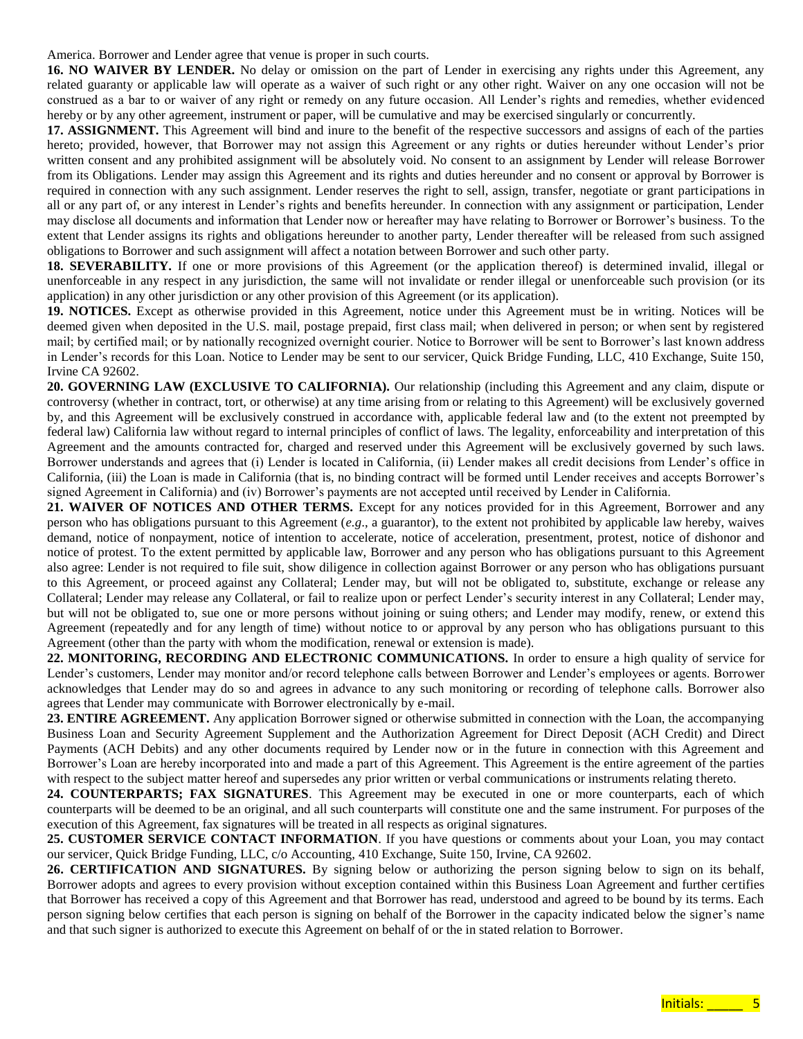America. Borrower and Lender agree that venue is proper in such courts.

**16. NO WAIVER BY LENDER.** No delay or omission on the part of Lender in exercising any rights under this Agreement, any related guaranty or applicable law will operate as a waiver of such right or any other right. Waiver on any one occasion will not be construed as a bar to or waiver of any right or remedy on any future occasion. All Lender's rights and remedies, whether evidenced hereby or by any other agreement, instrument or paper, will be cumulative and may be exercised singularly or concurrently.

**17. ASSIGNMENT.** This Agreement will bind and inure to the benefit of the respective successors and assigns of each of the parties hereto; provided, however, that Borrower may not assign this Agreement or any rights or duties hereunder without Lender's prior written consent and any prohibited assignment will be absolutely void. No consent to an assignment by Lender will release Borrower from its Obligations. Lender may assign this Agreement and its rights and duties hereunder and no consent or approval by Borrower is required in connection with any such assignment. Lender reserves the right to sell, assign, transfer, negotiate or grant participations in all or any part of, or any interest in Lender's rights and benefits hereunder. In connection with any assignment or participation, Lender may disclose all documents and information that Lender now or hereafter may have relating to Borrower or Borrower's business. To the extent that Lender assigns its rights and obligations hereunder to another party, Lender thereafter will be released from such assigned obligations to Borrower and such assignment will affect a notation between Borrower and such other party.

**18. SEVERABILITY.** If one or more provisions of this Agreement (or the application thereof) is determined invalid, illegal or unenforceable in any respect in any jurisdiction, the same will not invalidate or render illegal or unenforceable such provision (or its application) in any other jurisdiction or any other provision of this Agreement (or its application).

**19. NOTICES.** Except as otherwise provided in this Agreement, notice under this Agreement must be in writing. Notices will be deemed given when deposited in the U.S. mail, postage prepaid, first class mail; when delivered in person; or when sent by registered mail; by certified mail; or by nationally recognized overnight courier. Notice to Borrower will be sent to Borrower's last known address in Lender's records for this Loan. Notice to Lender may be sent to our servicer, Quick Bridge Funding, LLC, 410 Exchange, Suite 150, Irvine CA 92602.

**20. GOVERNING LAW (EXCLUSIVE TO CALIFORNIA).** Our relationship (including this Agreement and any claim, dispute or controversy (whether in contract, tort, or otherwise) at any time arising from or relating to this Agreement) will be exclusively governed by, and this Agreement will be exclusively construed in accordance with, applicable federal law and (to the extent not preempted by federal law) California law without regard to internal principles of conflict of laws. The legality, enforceability and interpretation of this Agreement and the amounts contracted for, charged and reserved under this Agreement will be exclusively governed by such laws. Borrower understands and agrees that (i) Lender is located in California, (ii) Lender makes all credit decisions from Lender's office in California, (iii) the Loan is made in California (that is, no binding contract will be formed until Lender receives and accepts Borrower's signed Agreement in California) and (iv) Borrower's payments are not accepted until received by Lender in California.

**21. WAIVER OF NOTICES AND OTHER TERMS.** Except for any notices provided for in this Agreement, Borrower and any person who has obligations pursuant to this Agreement (*e.g*., a guarantor), to the extent not prohibited by applicable law hereby, waives demand, notice of nonpayment, notice of intention to accelerate, notice of acceleration, presentment, protest, notice of dishonor and notice of protest. To the extent permitted by applicable law, Borrower and any person who has obligations pursuant to this Agreement also agree: Lender is not required to file suit, show diligence in collection against Borrower or any person who has obligations pursuant to this Agreement, or proceed against any Collateral; Lender may, but will not be obligated to, substitute, exchange or release any Collateral; Lender may release any Collateral, or fail to realize upon or perfect Lender's security interest in any Collateral; Lender may, but will not be obligated to, sue one or more persons without joining or suing others; and Lender may modify, renew, or extend this Agreement (repeatedly and for any length of time) without notice to or approval by any person who has obligations pursuant to this Agreement (other than the party with whom the modification, renewal or extension is made).

**22. MONITORING, RECORDING AND ELECTRONIC COMMUNICATIONS.** In order to ensure a high quality of service for Lender's customers, Lender may monitor and/or record telephone calls between Borrower and Lender's employees or agents. Borrower acknowledges that Lender may do so and agrees in advance to any such monitoring or recording of telephone calls. Borrower also agrees that Lender may communicate with Borrower electronically by e-mail.

**23. ENTIRE AGREEMENT.** Any application Borrower signed or otherwise submitted in connection with the Loan, the accompanying Business Loan and Security Agreement Supplement and the Authorization Agreement for Direct Deposit (ACH Credit) and Direct Payments (ACH Debits) and any other documents required by Lender now or in the future in connection with this Agreement and Borrower's Loan are hereby incorporated into and made a part of this Agreement. This Agreement is the entire agreement of the parties with respect to the subject matter hereof and supersedes any prior written or verbal communications or instruments relating thereto.

**24. COUNTERPARTS; FAX SIGNATURES**. This Agreement may be executed in one or more counterparts, each of which counterparts will be deemed to be an original, and all such counterparts will constitute one and the same instrument. For purposes of the execution of this Agreement, fax signatures will be treated in all respects as original signatures.

**25. CUSTOMER SERVICE CONTACT INFORMATION**. If you have questions or comments about your Loan, you may contact our servicer, Quick Bridge Funding, LLC, c/o Accounting, 410 Exchange, Suite 150, Irvine, CA 92602.

**26. CERTIFICATION AND SIGNATURES.** By signing below or authorizing the person signing below to sign on its behalf, Borrower adopts and agrees to every provision without exception contained within this Business Loan Agreement and further certifies that Borrower has received a copy of this Agreement and that Borrower has read, understood and agreed to be bound by its terms. Each person signing below certifies that each person is signing on behalf of the Borrower in the capacity indicated below the signer's name and that such signer is authorized to execute this Agreement on behalf of or the in stated relation to Borrower.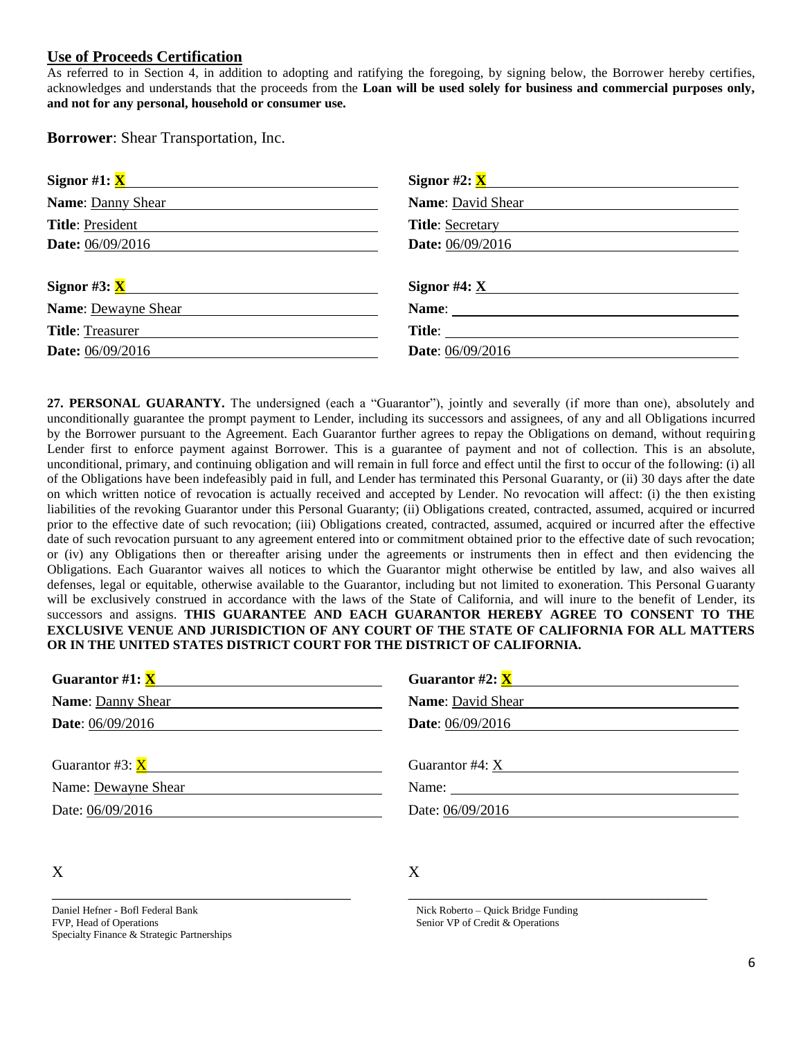### **Use of Proceeds Certification**

As referred to in Section 4, in addition to adopting and ratifying the foregoing, by signing below, the Borrower hereby certifies, acknowledges and understands that the proceeds from the **Loan will be used solely for business and commercial purposes only, and not for any personal, household or consumer use.**

**Borrower**: Shear Transportation, Inc.

| Signor #1: $X$                      | Signor #2: $\underline{\mathbf{X}}$ |  |
|-------------------------------------|-------------------------------------|--|
| Name: Danny Shear                   | <b>Name:</b> David Shear            |  |
| Title: President                    | <b>Title: Secretary</b>             |  |
| Date: 06/09/2016                    | Date: 06/09/2016                    |  |
|                                     |                                     |  |
| Signor #3: $\underline{\mathbf{X}}$ | Signor #4: $X$                      |  |
| Name: Dewayne Shear                 | Name:                               |  |
| <b>Title:</b> Treasurer             | Title:                              |  |
| <b>Date:</b> 06/09/2016             | <b>Date:</b> 06/09/2016             |  |
|                                     |                                     |  |

**27. PERSONAL GUARANTY.** The undersigned (each a "Guarantor"), jointly and severally (if more than one), absolutely and unconditionally guarantee the prompt payment to Lender, including its successors and assignees, of any and all Obligations incurred by the Borrower pursuant to the Agreement. Each Guarantor further agrees to repay the Obligations on demand, without requiring Lender first to enforce payment against Borrower. This is a guarantee of payment and not of collection. This is an absolute, unconditional, primary, and continuing obligation and will remain in full force and effect until the first to occur of the following: (i) all of the Obligations have been indefeasibly paid in full, and Lender has terminated this Personal Guaranty, or (ii) 30 days after the date on which written notice of revocation is actually received and accepted by Lender. No revocation will affect: (i) the then existing liabilities of the revoking Guarantor under this Personal Guaranty; (ii) Obligations created, contracted, assumed, acquired or incurred prior to the effective date of such revocation; (iii) Obligations created, contracted, assumed, acquired or incurred after the effective date of such revocation pursuant to any agreement entered into or commitment obtained prior to the effective date of such revocation; or (iv) any Obligations then or thereafter arising under the agreements or instruments then in effect and then evidencing the Obligations. Each Guarantor waives all notices to which the Guarantor might otherwise be entitled by law, and also waives all defenses, legal or equitable, otherwise available to the Guarantor, including but not limited to exoneration. This Personal Guaranty will be exclusively construed in accordance with the laws of the State of California, and will inure to the benefit of Lender, its successors and assigns. **THIS GUARANTEE AND EACH GUARANTOR HEREBY AGREE TO CONSENT TO THE EXCLUSIVE VENUE AND JURISDICTION OF ANY COURT OF THE STATE OF CALIFORNIA FOR ALL MATTERS OR IN THE UNITED STATES DISTRICT COURT FOR THE DISTRICT OF CALIFORNIA.**

| Guarantor #1: $X$         | Guarantor #2: $\underline{\mathbf{X}}$                   |
|---------------------------|----------------------------------------------------------|
| <b>Name: Danny Shear</b>  | <b>Name:</b> David Shear                                 |
| <b>Date:</b> $06/09/2016$ | <b>Date:</b> 06/09/2016                                  |
|                           |                                                          |
| Guarantor #3: $X$         | Guarantor $#4$ : X                                       |
| Name: Dewayne Shear       | Name: $\frac{1}{\sqrt{1-\frac{1}{2}} \cdot \frac{1}{2}}$ |
| Date: 06/09/2016          | Date: 06/09/2016                                         |

## X

Daniel Hefner - Bofl Federal Bank FVP, Head of Operations Specialty Finance & Strategic Partnerships

\_\_\_\_\_\_\_\_\_\_\_\_\_\_\_\_\_\_\_\_\_\_\_\_\_\_\_\_\_\_\_\_\_\_\_\_\_\_

### X

 Nick Roberto – Quick Bridge Funding Senior VP of Credit & Operations

\_\_\_\_\_\_\_\_\_\_\_\_\_\_\_\_\_\_\_\_\_\_\_\_\_\_\_\_\_\_\_\_\_\_\_\_\_\_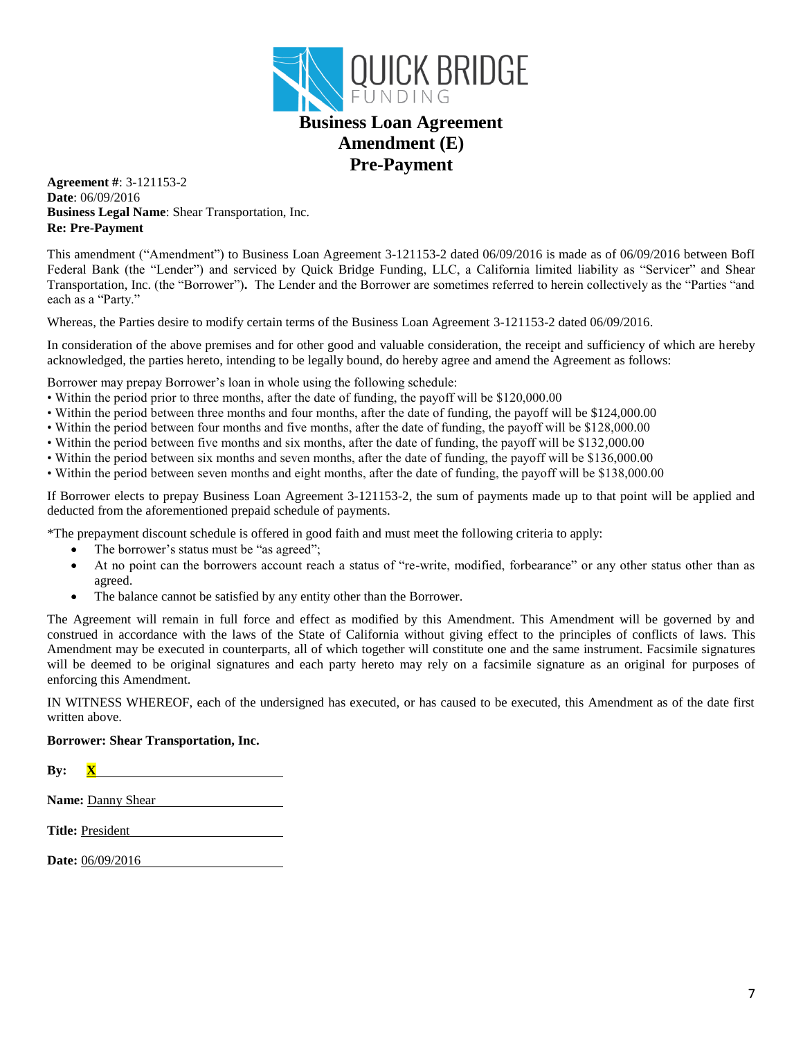

## **Business Loan Agreement Amendment (E) Pre-Payment**

**Agreement #**: 3-121153-2 **Date**: 06/09/2016 **Business Legal Name**: Shear Transportation, Inc. **Re: Pre-Payment** 

This amendment ("Amendment") to Business Loan Agreement 3-121153-2 dated 06/09/2016 is made as of 06/09/2016 between BofI Federal Bank (the "Lender") and serviced by Quick Bridge Funding, LLC, a California limited liability as "Servicer" and Shear Transportation, Inc. (the "Borrower")**.** The Lender and the Borrower are sometimes referred to herein collectively as the "Parties "and each as a "Party."

Whereas, the Parties desire to modify certain terms of the Business Loan Agreement 3-121153-2 dated 06/09/2016.

In consideration of the above premises and for other good and valuable consideration, the receipt and sufficiency of which are hereby acknowledged, the parties hereto, intending to be legally bound, do hereby agree and amend the Agreement as follows:

Borrower may prepay Borrower's loan in whole using the following schedule:

- Within the period prior to three months, after the date of funding, the payoff will be \$120,000.00
- Within the period between three months and four months, after the date of funding, the payoff will be \$124,000.00
- Within the period between four months and five months, after the date of funding, the payoff will be \$128,000.00
- Within the period between five months and six months, after the date of funding, the payoff will be \$132,000.00
- Within the period between six months and seven months, after the date of funding, the payoff will be \$136,000.00
- Within the period between seven months and eight months, after the date of funding, the payoff will be \$138,000.00

If Borrower elects to prepay Business Loan Agreement 3-121153-2, the sum of payments made up to that point will be applied and deducted from the aforementioned prepaid schedule of payments.

\*The prepayment discount schedule is offered in good faith and must meet the following criteria to apply:

- The borrower's status must be "as agreed";
- At no point can the borrowers account reach a status of "re-write, modified, forbearance" or any other status other than as agreed.
- The balance cannot be satisfied by any entity other than the Borrower.

The Agreement will remain in full force and effect as modified by this Amendment. This Amendment will be governed by and construed in accordance with the laws of the State of California without giving effect to the principles of conflicts of laws. This Amendment may be executed in counterparts, all of which together will constitute one and the same instrument. Facsimile signatures will be deemed to be original signatures and each party hereto may rely on a facsimile signature as an original for purposes of enforcing this Amendment.

IN WITNESS WHEREOF, each of the undersigned has executed, or has caused to be executed, this Amendment as of the date first written above.

#### **Borrower: Shear Transportation, Inc.**

| .<br>æ., |  |
|----------|--|
|          |  |

**Name:** Danny Shear

**Title:** President

**Date:** 06/09/2016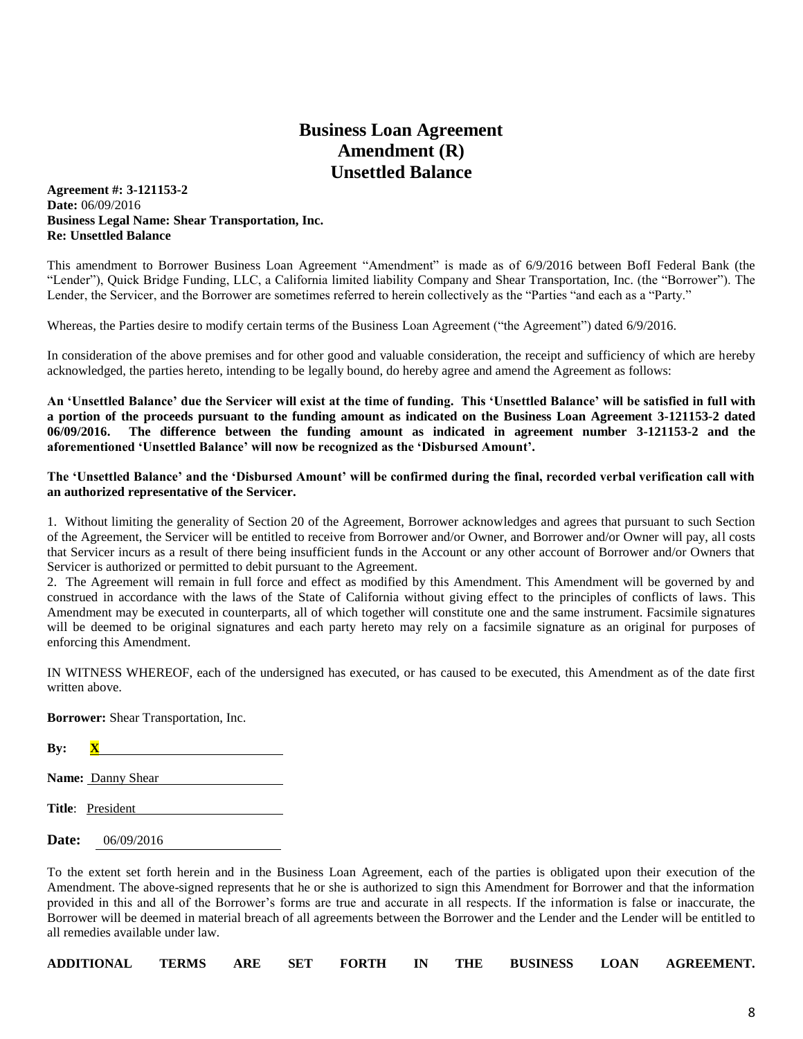# **Business Loan Agreement Amendment (R) Unsettled Balance**

**Agreement #: 3-121153-2 Date:** 06/09/2016 **Business Legal Name: Shear Transportation, Inc. Re: Unsettled Balance**

This amendment to Borrower Business Loan Agreement "Amendment" is made as of 6/9/2016 between BofI Federal Bank (the "Lender"), Quick Bridge Funding, LLC, a California limited liability Company and Shear Transportation, Inc. (the "Borrower"). The Lender, the Servicer, and the Borrower are sometimes referred to herein collectively as the "Parties "and each as a "Party."

Whereas, the Parties desire to modify certain terms of the Business Loan Agreement ("the Agreement") dated 6/9/2016.

In consideration of the above premises and for other good and valuable consideration, the receipt and sufficiency of which are hereby acknowledged, the parties hereto, intending to be legally bound, do hereby agree and amend the Agreement as follows:

**An 'Unsettled Balance' due the Servicer will exist at the time of funding. This 'Unsettled Balance' will be satisfied in full with a portion of the proceeds pursuant to the funding amount as indicated on the Business Loan Agreement 3-121153-2 dated 06/09/2016. The difference between the funding amount as indicated in agreement number 3-121153-2 and the aforementioned 'Unsettled Balance' will now be recognized as the 'Disbursed Amount'.**

#### **The 'Unsettled Balance' and the 'Disbursed Amount' will be confirmed during the final, recorded verbal verification call with an authorized representative of the Servicer.**

1. Without limiting the generality of Section 20 of the Agreement, Borrower acknowledges and agrees that pursuant to such Section of the Agreement, the Servicer will be entitled to receive from Borrower and/or Owner, and Borrower and/or Owner will pay, all costs that Servicer incurs as a result of there being insufficient funds in the Account or any other account of Borrower and/or Owners that Servicer is authorized or permitted to debit pursuant to the Agreement.

2. The Agreement will remain in full force and effect as modified by this Amendment. This Amendment will be governed by and construed in accordance with the laws of the State of California without giving effect to the principles of conflicts of laws. This Amendment may be executed in counterparts, all of which together will constitute one and the same instrument. Facsimile signatures will be deemed to be original signatures and each party hereto may rely on a facsimile signature as an original for purposes of enforcing this Amendment.

IN WITNESS WHEREOF, each of the undersigned has executed, or has caused to be executed, this Amendment as of the date first written above.

**Borrower:** Shear Transportation, Inc.

**By:** 

- **Name:** Danny Shear
- **Title**: President
- **Date:** 06/09/2016

To the extent set forth herein and in the Business Loan Agreement, each of the parties is obligated upon their execution of the Amendment. The above-signed represents that he or she is authorized to sign this Amendment for Borrower and that the information provided in this and all of the Borrower's forms are true and accurate in all respects. If the information is false or inaccurate, the Borrower will be deemed in material breach of all agreements between the Borrower and the Lender and the Lender will be entitled to all remedies available under law.

|  |  |  |  | ADDITIONAL TERMS ARE SET FORTH IN THE BUSINESS LOAN AGREEMENT. |
|--|--|--|--|----------------------------------------------------------------|
|  |  |  |  |                                                                |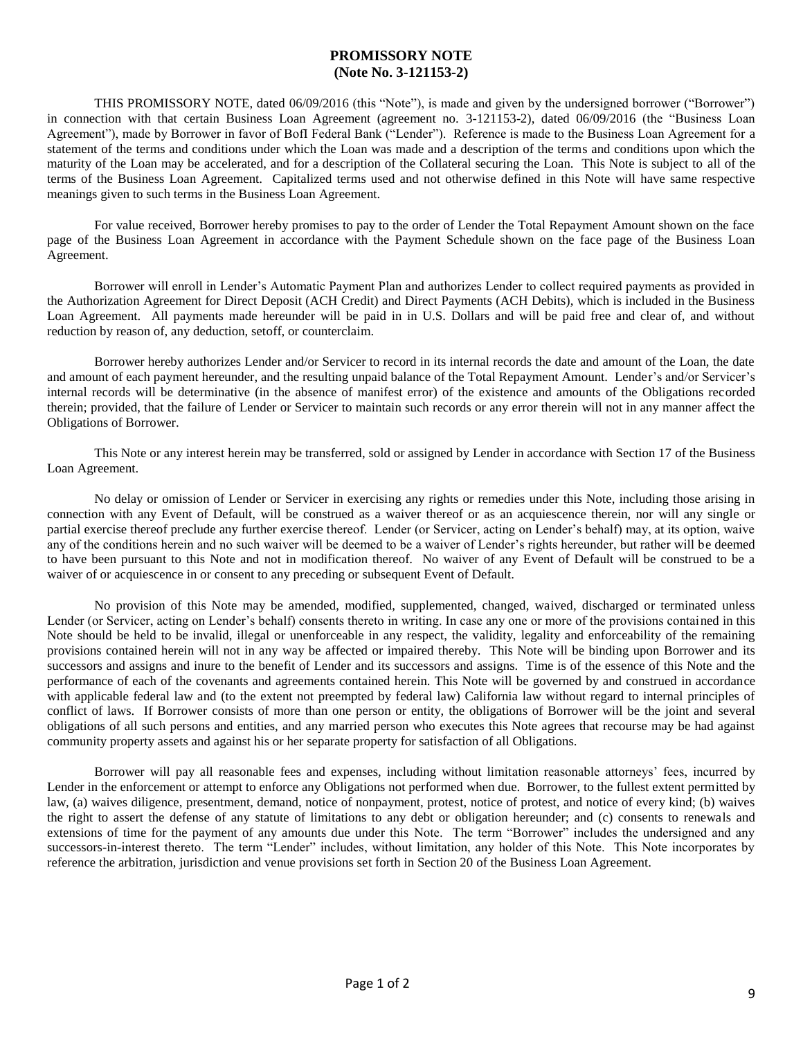### **PROMISSORY NOTE (Note No. 3-121153-2)**

THIS PROMISSORY NOTE, dated 06/09/2016 (this "Note"), is made and given by the undersigned borrower ("Borrower") in connection with that certain Business Loan Agreement (agreement no. 3-121153-2), dated 06/09/2016 (the "Business Loan Agreement"), made by Borrower in favor of BofI Federal Bank ("Lender"). Reference is made to the Business Loan Agreement for a statement of the terms and conditions under which the Loan was made and a description of the terms and conditions upon which the maturity of the Loan may be accelerated, and for a description of the Collateral securing the Loan. This Note is subject to all of the terms of the Business Loan Agreement. Capitalized terms used and not otherwise defined in this Note will have same respective meanings given to such terms in the Business Loan Agreement.

For value received, Borrower hereby promises to pay to the order of Lender the Total Repayment Amount shown on the face page of the Business Loan Agreement in accordance with the Payment Schedule shown on the face page of the Business Loan Agreement.

Borrower will enroll in Lender's Automatic Payment Plan and authorizes Lender to collect required payments as provided in the Authorization Agreement for Direct Deposit (ACH Credit) and Direct Payments (ACH Debits), which is included in the Business Loan Agreement. All payments made hereunder will be paid in in U.S. Dollars and will be paid free and clear of, and without reduction by reason of, any deduction, setoff, or counterclaim.

Borrower hereby authorizes Lender and/or Servicer to record in its internal records the date and amount of the Loan, the date and amount of each payment hereunder, and the resulting unpaid balance of the Total Repayment Amount. Lender's and/or Servicer's internal records will be determinative (in the absence of manifest error) of the existence and amounts of the Obligations recorded therein; provided, that the failure of Lender or Servicer to maintain such records or any error therein will not in any manner affect the Obligations of Borrower.

This Note or any interest herein may be transferred, sold or assigned by Lender in accordance with Section 17 of the Business Loan Agreement.

No delay or omission of Lender or Servicer in exercising any rights or remedies under this Note, including those arising in connection with any Event of Default, will be construed as a waiver thereof or as an acquiescence therein, nor will any single or partial exercise thereof preclude any further exercise thereof. Lender (or Servicer, acting on Lender's behalf) may, at its option, waive any of the conditions herein and no such waiver will be deemed to be a waiver of Lender's rights hereunder, but rather will be deemed to have been pursuant to this Note and not in modification thereof. No waiver of any Event of Default will be construed to be a waiver of or acquiescence in or consent to any preceding or subsequent Event of Default.

No provision of this Note may be amended, modified, supplemented, changed, waived, discharged or terminated unless Lender (or Servicer, acting on Lender's behalf) consents thereto in writing. In case any one or more of the provisions contained in this Note should be held to be invalid, illegal or unenforceable in any respect, the validity, legality and enforceability of the remaining provisions contained herein will not in any way be affected or impaired thereby. This Note will be binding upon Borrower and its successors and assigns and inure to the benefit of Lender and its successors and assigns. Time is of the essence of this Note and the performance of each of the covenants and agreements contained herein. This Note will be governed by and construed in accordance with applicable federal law and (to the extent not preempted by federal law) California law without regard to internal principles of conflict of laws. If Borrower consists of more than one person or entity, the obligations of Borrower will be the joint and several obligations of all such persons and entities, and any married person who executes this Note agrees that recourse may be had against community property assets and against his or her separate property for satisfaction of all Obligations.

Borrower will pay all reasonable fees and expenses, including without limitation reasonable attorneys' fees, incurred by Lender in the enforcement or attempt to enforce any Obligations not performed when due. Borrower, to the fullest extent permitted by law, (a) waives diligence, presentment, demand, notice of nonpayment, protest, notice of protest, and notice of every kind; (b) waives the right to assert the defense of any statute of limitations to any debt or obligation hereunder; and (c) consents to renewals and extensions of time for the payment of any amounts due under this Note. The term "Borrower" includes the undersigned and any successors-in-interest thereto. The term "Lender" includes, without limitation, any holder of this Note. This Note incorporates by reference the arbitration, jurisdiction and venue provisions set forth in Section 20 of the Business Loan Agreement.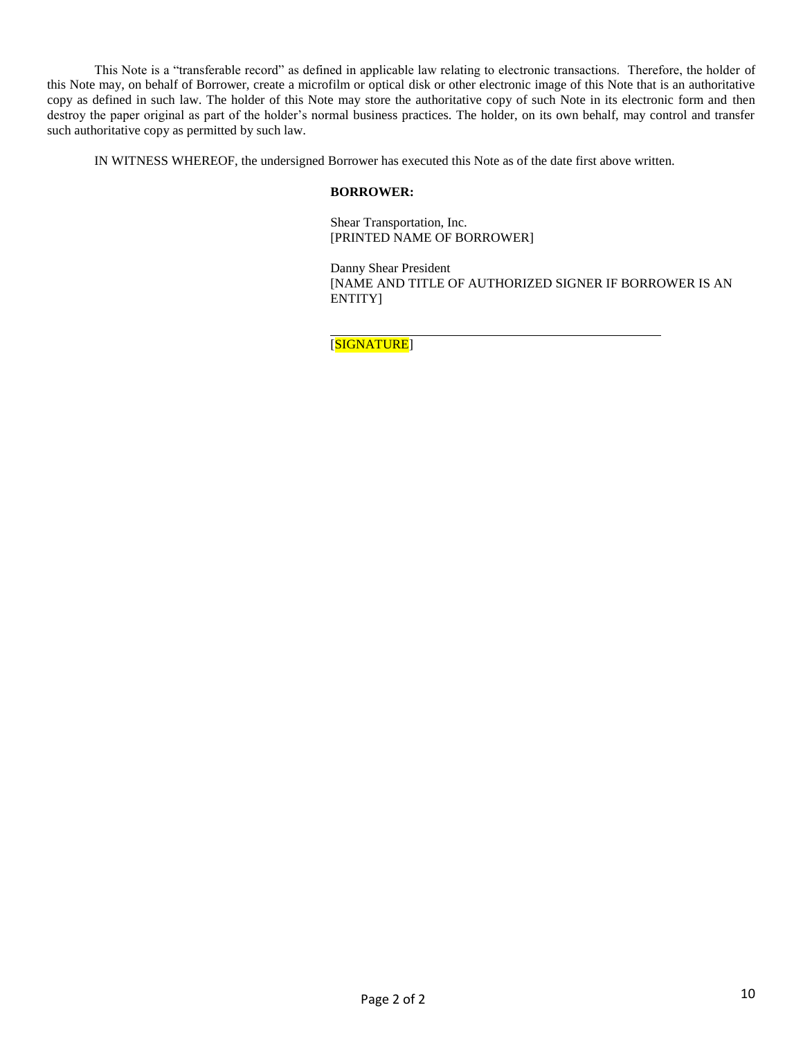This Note is a "transferable record" as defined in applicable law relating to electronic transactions. Therefore, the holder of this Note may, on behalf of Borrower, create a microfilm or optical disk or other electronic image of this Note that is an authoritative copy as defined in such law. The holder of this Note may store the authoritative copy of such Note in its electronic form and then destroy the paper original as part of the holder's normal business practices. The holder, on its own behalf, may control and transfer such authoritative copy as permitted by such law.

IN WITNESS WHEREOF, the undersigned Borrower has executed this Note as of the date first above written.

#### **BORROWER:**

Shear Transportation, Inc. [PRINTED NAME OF BORROWER]

Danny Shear President [NAME AND TITLE OF AUTHORIZED SIGNER IF BORROWER IS AN ENTITY]

[SIGNATURE]